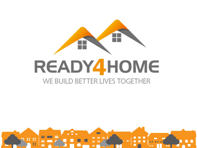

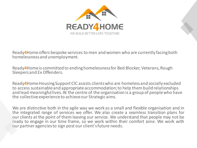

Ready**4**Home offers bespoke services to men and women who are currently facing both homelessness and unemployment.

Ready**4**Home is committed to ending homelessness for Bed Blocker, Veterans, Rough Sleepers and Ex Offenders.

Ready4Home Housing Support CIC assists clients who are homeless and socially excluded to access sustainable and appropriate accommodation; to help them build relationships and lead meaningful lives.At the centre of the organisation is a group of people who have the collective experienceto achieve our Strategic aims.

We are distinctive both in the agile way we work as a small and flexible organisation and in the integrated range of services we offer. We also create a seamless transition plans for our clients at the point of them leaving ourservice. We understand that people may not be ready to engage in our time frame, so we work within their comfort zone. We work with our partner agenciesto sign post our client'sfuture needs.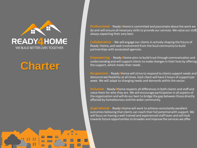

# **Charter**

 $\blacktriangle$ 

**Professional -** Ready**4**Home is committed and passionate about the work we do and will ensure all necessary skills to provide our services. We value our staff, always expecting their very best.

**Collaborative -** We will engage our clients in actively shaping the future of Ready**4**Home, and seek involvement from the local community to build partnerships with associated agencies.

**Empowering -** Ready**4**Home aims to build trust through communication and understanding and will support clients to make changes in their lives by offering the support, which meets their needs.

**Responsive -** Ready**4**Home will strive to respond to clients support needs and demonstrate flexibility at all times. Each client will have 5 hours of support per week. We will adapt to changing needs and demands within the sector.

**Inclusive -** Ready**4**Home respects all differences in both clients and staff and value them for who they are. We will encourage participation in all aspects of the organisation and will do our best to bridge the gap between those directly affected by homelessness and the wider community.

**Aspirational -** Ready**4**Home will work to achieve consistently excellent outcomes believing that clients can reach their full potential with support. We will focus on having a well trained and experienced staff team and will look towards future opportunities to broaden and improve the services we offer.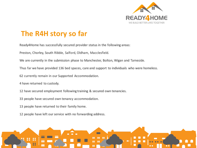

### **The R4H story so far**

Ready4Home has successfully secured provider status in the following areas:

Preston, Chorley, South Ribble, Salford, Oldham, Macclesfield.

We are currently in the submission phase to Manchester, Bolton, Wigan and Tameside.

Thus far we have provided 136 bed spaces, care and support to individuals who were homeless.

62 currently remain in our Supported Accommodation.

4 have returned to custody.

12 have secured employment following training & secured own tenancies.

- 33 people have secured own tenancy accommodation.
- 13 people have returned to their family home.
- 12 people have left our service with no forwarding address.

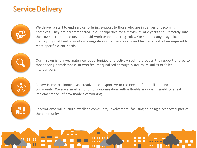### Service Delivery



We deliver a start to end service, offering support to those who are in danger of becoming homeless. They are accommodated in our properties for a maximum of 2 years and ultimately into their own accommodation, in to paid work or volunteering roles. We support any drug, alcohol, mental/physical health, working alongside our partners locally and further afield when required to meet specific client needs.



Our mission is to investigate new opportunities and actively seek to broaden the support offered to those facing homelessness or who feel marginalised through historical mistakes or failed interventions.



Ready4Home are innovative, creative and responsive to the needs of both clients and the community. We are a small autonomous organisation with a flexible approach, enabling a fast implementation of new models of working.

畾

Ready4Home will nurture excellent community involvement, focusing on being a respected part of the community.

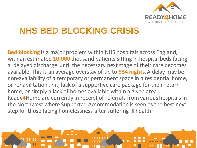

# **NHS BED BLOCKING CRISIS**

**Bed blocking** is a major problem within NHS hospitals across England, with an estimated **10,000** thousand patients sitting in hospital beds facing a 'delayed discharge' until the necessary next stage of their care becomes available. This is an average overstay of up to **534 nights**. A delay may be non-availability of a temporary or permanent space in a residential home, or rehabilitation unit, lack of a supportive care package for their return home, or simply a lack of homes available within a given area. Ready**4**Home are currently in receipt of referrals from various hospitals in the Northwest where Supported Accommodation is seen as the best next step for those facing homelessness after suffering ill health.

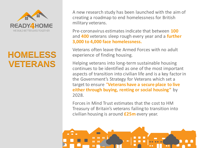

# **HOMELESS VETERANS**

A new research study has been launched with the aim of creating a roadmap to end homelessness for British military veterans.

Pre-coronavirus estimates indicate that between **100** and **400** veterans sleep rough every year and a **further 3,000 to 4,000 face homelessness.**

Veterans often leave the Armed Forces with no adult experience of finding housing.

Helping veterans into long-term sustainable housing continues to be identified as one of the most important aspects of transition into civilian life and is a key factor in the Government's Strategy for Veterans which set a target to ensure "**Veterans have a secure place to live either through buying, renting or social housing"** by 2028.

Forces in Mind Trust estimates that the cost to HM Treasury of Britain's veterans failing to transition into civilian housing is around **£25m** every year.

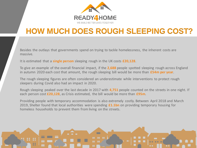

## **HOW MUCH DOES ROUGH SLEEPING COST?**

Besides the outlays that governments spend on trying to tackle homelessness, the inherent costs are massive.

It is estimated that a **single person** sleeping rough in the UK costs **£20,128**.

To give an example of the overall financial impact, if the **2,688** people spotted sleeping rough across England in autumn 2020 each cost that amount, the rough sleeping bill would be more than **£54m per year**.

The rough sleeping figures are often considered an underestimate while interventions to protect rough sleepers during Covid also had an impact in 2020.

Rough sleeping peaked over the last decade in 2017 with **4,751** people counted on the streets in one night. If each person cost **£20,128**, as Crisis estimated, the bill would be more than **£95m**.

Providing people with temporary accommodation is also extremely costly. Between April 2018 and March 2019, Shelter found that local authorities were spending **£1.1bn** on providing temporary housing for homeless households to prevent them from living on the streets.

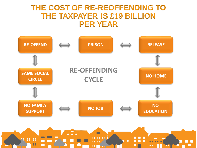### **THE COST OF RE-REOFFENDING TO THE TAXPAYER IS £19 BILLION PER YEAR**



 $\blacksquare$ 

IT

m

: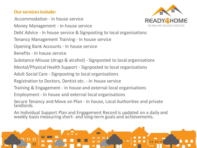#### **Our services include:**

Accommodation - In house service

Money Management - In house service



Debt Advice - In house service & Signposting to local organisations

Tenancy Management Training - In house service

Opening Bank Accounts - In house service

Benefits - In house service

Substance Misuse (drugs & alcohol) - Signposted to local organisations

Mental/Physical Health Support - Signposted to local organisations

Adult Social Care - Signposting to local organisations

Registration to Doctors, Dentist etc. - In house service

Training & Engagement - In house and external local organisations

Employment - In house and external local organisations

Secure Tenancy and Move on Plan - In house, Local Authorities and private landlords.

An Individual Support Plan and Engagement Record is updated on a daily and weekly basis measuring short- and long-term goals and achievements.

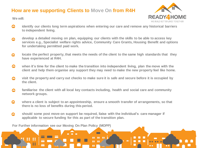#### **How are we supporting Clients to Move On from R4H**



**We will:**

 $\mathbf{R}$ 

 $\bullet$ 

 $\ddot{\phantom{a}}$ 

22

- **CLAN identify our clients long term aspirations when entering our care and remove any historical barriers to independent living.**
- **develop a detailed moving on plan, equipping our clients with the skills to be able to access key**   $\bigodot$ **services e.g., Specialist welfare rights advice, Community Care Grants, Housing Benefit and options for undertaking permitted paid work.**
- **locate the perfect property, that meets the needs of the client to the same high standards that they**  fa. in **have experienced at R4H.**
- $\bigcirc$ **when it's time for the client to make the transition into independent living, plan the move with the client and help them organise any support they may need to make the new property feel like home.**
- **visit the property and carry out checks to make sure it is safe and secure before it is occupied by**   $\begin{pmatrix} 1 \\ 1 \\ 1 \\ 1 \end{pmatrix}$ **the client.**
- **familiarise the client with all local key contacts including, health and social care and community**   $\boldsymbol{\Omega}$ **network groups.**
- $\bullet$ **where a client is subject to an appointeeship, ensure a smooth transfer of arrangements, so that there is no loss of benefits during this period.**

 $\blacksquare$ 

 $\blacksquare$ 

 $\mathbf{u}$   $\mathbf{u}$ 

 $\mathbf{10}$   $\mathbf{10}$ 

 $\bullet$ 

**should some post move-on support be required, liaise with the individual's care manager if**   $\bullet$ **applicable to secure funding for this as part of the transition plan.**

**For Further information see our Moving On Plan Policy (MOPP)**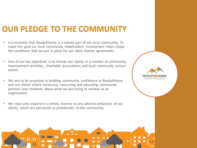## **OUR PLEDGE TO THE COMMUNITY**

- It is essential that Ready4Home is a valued part of the local community. To reach this goal our local community stakeholders' involvement helps shape the conditions that we put in place for our client license agreements.
- One of our key objectives is to include our clients in a number of community improvement activities, charitable associations and local community annual events.
- We aim to be proactive in building community confidence in Ready4Home and our clients where necessary, reassuring and educating community partners and residents about what we are trying to achieve as an organisation.
- We react and respond in a timely manner to any adverse behaviour of our clients, which are perceived as problematic to the community.



**READY**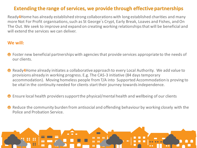### **Extending the range of services, we provide through effective partnerships**

Ready**4**Home has already established strong collaborations with long established charities and many more Not For Profit organisations, such as St George's Crypt, Early Break, Loaves and Fishes, and On The Out. We seek to improve and expand on creating working relationships that will be beneficial and will extend the services we can deliver.

#### **We will:**

- ◆ Foster new beneficial partnerships with agencies that provide services appropriate to the needs of our clients.
- Ready**4**Home already initiates a collaborative approach to every Local Authority. We add value to provisions already in working progress. E.g. The CAS-3 initiative (84 days temporary accommodation). Moving homeless people from T/A into Supported Accommodation is proving to be vital in the continuity needed for clients start their journey towards independence.
- Ensure local health providers support the physical/mental health and wellbeing of our clients
- **<sup>●</sup>** Reduce the community burden from antisocial and offending behaviour by working closely with the Police and Probation Service.

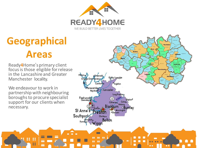

 $\blacksquare$ 

# **Geographical Areas**

Ready**4**Home's primary client focus is those eligible forrelease in the Lancashire and Greater Manchester locality.

We endeavour to work in partnership with neighbouring boroughs to procure specialist support for our clients when necessary.

> $\bullet$  $\mathbf{R}$

8

22



. .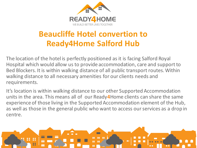

# **Beaucliffe Hotel convertion to Ready4Home Salford Hub**

The location of the hotel is perfectly positioned as it is facing Salford Royal Hospital which would allow us to provide accommodation, care and support to Bed Blockers. It is within walking distance of all public transport routes. Within walking distance to all necessary amenities for our clients needs and requirements.

It's location is within walking distance to our other Supported Accommodation units in the area. This means all of our Ready**4**Home clients can share the same experience of those living in the Supported Accommodation element of the Hub, as well as those in the general public who want to access our services as a drop in centre.

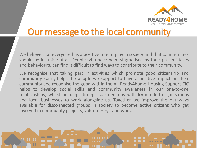

# Our message to the local community

We believe that everyone has a positive role to play in society and that communities should be inclusive of all. People who have been stigmatised by their past mistakes and behaviours, can find it difficult to find ways to contribute to their community.

We recognise that taking part in activities which promote good citizenship and community spirit, helps the people we support to have a positive impact on their community and recognise the good within them. Ready4home Housing Support CIC helps to develop social skills and community awareness in our one-to-one relationships, whilst building strategic partnerships with likeminded organisations and local businesses to work alongside us. Together we improve the pathways available for disconnected groups in society to become active citizens who get involved in community projects, volunteering, and work.

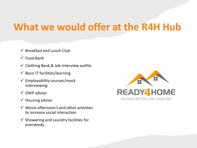# **What we would offer at the R4H Hub**

- $\checkmark$  Breakfast and Lunch Club
- $\checkmark$  Food Bank
- $\checkmark$  Clothing Bank & Job Interview outfits
- $\checkmark$  Basic IT facilities/learning
- $\checkmark$  Employability courses/mock interviewing
- ✓ DWP advise
- $\checkmark$  Housing advise
- $\checkmark$  Movie afternoon's and other activities to increase social interaction
- $\checkmark$  Showering and Laundry facilities for everybody

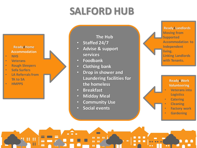# **SALFORD HUB**



#### **The Hub**

- **Staffed 24/7**
- **Advise & support services**
- **Foodbank**
- **Clothing bank**
- **Drop in shower and Laundering facilities for the homeless**
- **Breakfast**
- **Midday Meal**
- **Community Use**
- **Social events**



**Ready 4Work Volunteering**

- **Veterans into Logistics**
- **Catering**
- **Cleaning**
- **Factory work**
- **Gardening**

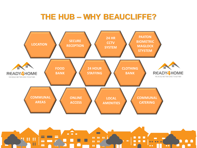## **THE HUB – WHY BEAUCLIFFE?**



 $\blacksquare$ 

**Part of the Second** 

 $\bullet$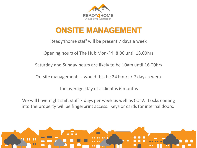

## **ONSITE MANAGEMENT**

Ready4home staff will be present 7 days a week

Opening hours of The Hub Mon-Fri 8.00 until 18.00hrs

Saturday and Sunday hours are likely to be 10am until 16.00hrs

On-site management - would this be 24 hours / 7 days a week

The average stay of a client is 6 months

We will have night shift staff 7 days per week as well as CCTV. Locks coming into the property will be fingerprint access. Keys or cards for internal doors.

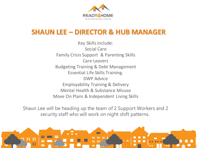

### **SHAUN LEE – DIRECTOR & HUB MANAGER**

Key Skills include: Social Care Family Crisis Support & Parenting Skills Care Leavers Budgeting Training & Debt Management Essential Life Skills Training. DWP Advice Employability Training & Delivery Mental Health & Substance Misuse Move On Plans & Independent Living Skills

Shaun Lee will be heading up the team of 2 Support Workers and 2 security staff who will work on night shift patterns.